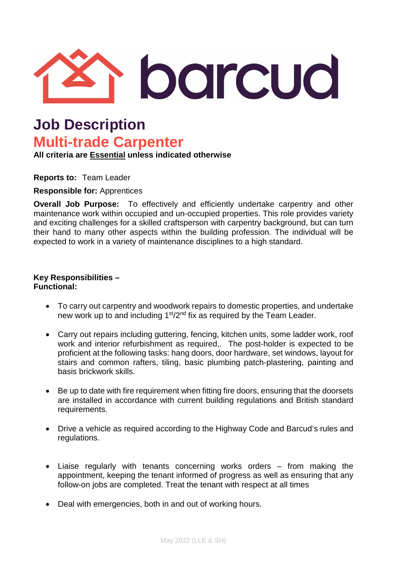

# **Job Description Multi-trade Carpenter**

**All criteria are Essential unless indicated otherwise**

**Reports to:** Team Leader

**Responsible for:** Apprentices

**Overall Job Purpose:** To effectively and efficiently undertake carpentry and other maintenance work within occupied and un-occupied properties. This role provides variety and exciting challenges for a skilled craftsperson with carpentry background, but can turn their hand to many other aspects within the building profession. The individual will be expected to work in a variety of maintenance disciplines to a high standard.

# **Key Responsibilities – Functional:**

- To carry out carpentry and woodwork repairs to domestic properties, and undertake new work up to and including 1<sup>st</sup>/2<sup>nd</sup> fix as required by the Team Leader.
- Carry out repairs including guttering, fencing, kitchen units, some ladder work, roof work and interior refurbishment as required,. The post-holder is expected to be proficient at the following tasks: hang doors, door hardware, set windows, layout for stairs and common rafters, tiling, basic plumbing patch-plastering, painting and basis brickwork skills.
- Be up to date with fire requirement when fitting fire doors, ensuring that the doorsets are installed in accordance with current building regulations and British standard requirements.
- Drive a vehicle as required according to the Highway Code and Barcud's rules and regulations.
- Liaise regularly with tenants concerning works orders from making the appointment, keeping the tenant informed of progress as well as ensuring that any follow-on jobs are completed. Treat the tenant with respect at all times
- Deal with emergencies, both in and out of working hours.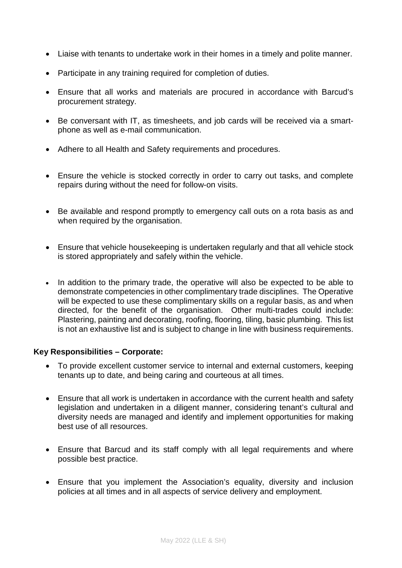- Liaise with tenants to undertake work in their homes in a timely and polite manner.
- Participate in any training required for completion of duties.
- Ensure that all works and materials are procured in accordance with Barcud's procurement strategy.
- Be conversant with IT, as timesheets, and job cards will be received via a smartphone as well as e-mail communication.
- Adhere to all Health and Safety requirements and procedures.
- Ensure the vehicle is stocked correctly in order to carry out tasks, and complete repairs during without the need for follow-on visits.
- Be available and respond promptly to emergency call outs on a rota basis as and when required by the organisation.
- Ensure that vehicle housekeeping is undertaken regularly and that all vehicle stock is stored appropriately and safely within the vehicle.
- In addition to the primary trade, the operative will also be expected to be able to demonstrate competencies in other complimentary trade disciplines. The Operative will be expected to use these complimentary skills on a regular basis, as and when directed, for the benefit of the organisation. Other multi-trades could include: Plastering, painting and decorating, roofing, flooring, tiling, basic plumbing. This list is not an exhaustive list and is subject to change in line with business requirements.

#### **Key Responsibilities – Corporate:**

- To provide excellent customer service to internal and external customers, keeping tenants up to date, and being caring and courteous at all times.
- Ensure that all work is undertaken in accordance with the current health and safety legislation and undertaken in a diligent manner, considering tenant's cultural and diversity needs are managed and identify and implement opportunities for making best use of all resources.
- Ensure that Barcud and its staff comply with all legal requirements and where possible best practice.
- Ensure that you implement the Association's equality, diversity and inclusion policies at all times and in all aspects of service delivery and employment.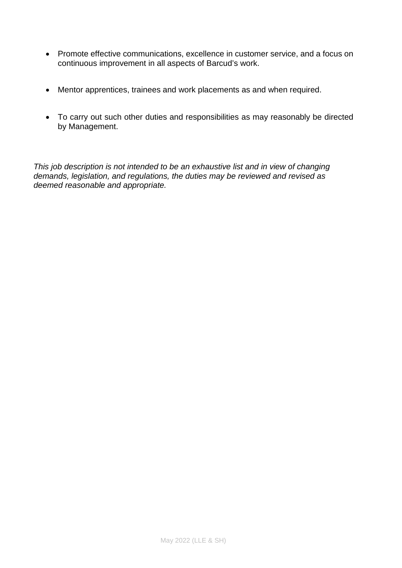- Promote effective communications, excellence in customer service, and a focus on continuous improvement in all aspects of Barcud's work.
- Mentor apprentices, trainees and work placements as and when required.
- To carry out such other duties and responsibilities as may reasonably be directed by Management.

*This job description is not intended to be an exhaustive list and in view of changing demands, legislation, and regulations, the duties may be reviewed and revised as deemed reasonable and appropriate.*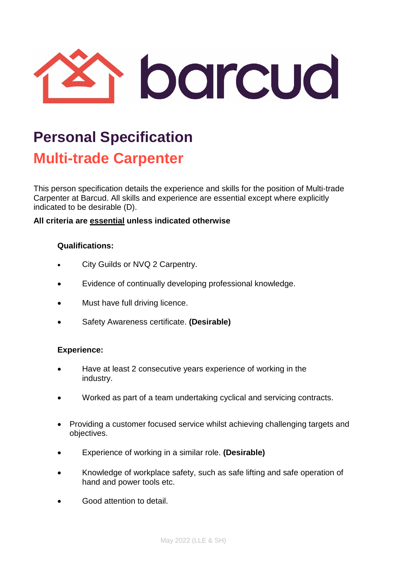

# **Personal Specification Multi-trade Carpenter**

This person specification details the experience and skills for the position of Multi-trade Carpenter at Barcud. All skills and experience are essential except where explicitly indicated to be desirable (D).

## **All criteria are essential unless indicated otherwise**

## **Qualifications:**

- City Guilds or NVQ 2 Carpentry.
- Evidence of continually developing professional knowledge.
- Must have full driving licence.
- Safety Awareness certificate. **(Desirable)**

#### **Experience:**

- Have at least 2 consecutive years experience of working in the industry.
- Worked as part of a team undertaking cyclical and servicing contracts.
- Providing a customer focused service whilst achieving challenging targets and objectives.
- Experience of working in a similar role. **(Desirable)**
- Knowledge of workplace safety, such as safe lifting and safe operation of hand and power tools etc.
- Good attention to detail.